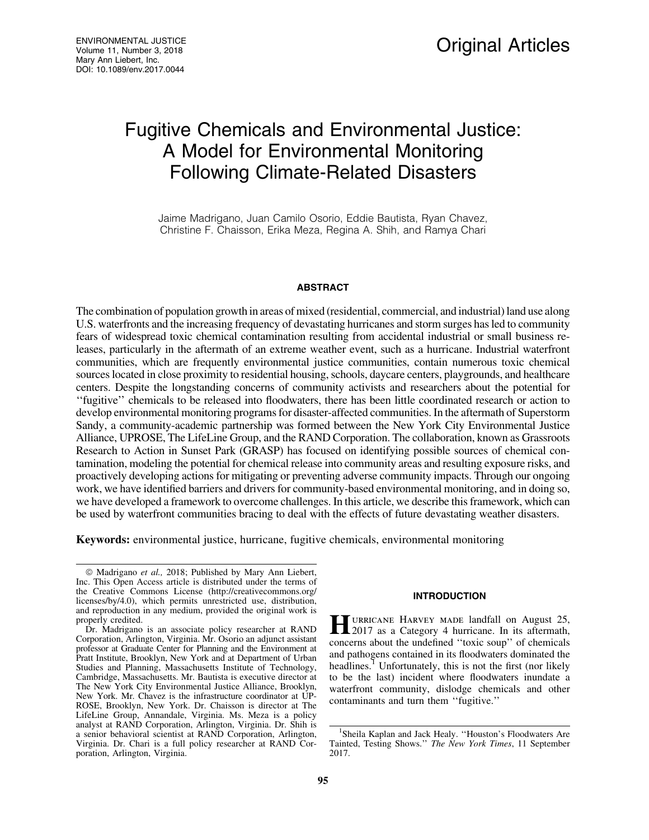# Fugitive Chemicals and Environmental Justice: A Model for Environmental Monitoring Following Climate-Related Disasters

Jaime Madrigano, Juan Camilo Osorio, Eddie Bautista, Ryan Chavez, Christine F. Chaisson, Erika Meza, Regina A. Shih, and Ramya Chari

# ABSTRACT

The combination of population growth in areas of mixed (residential, commercial, and industrial) land use along U.S. waterfronts and the increasing frequency of devastating hurricanes and storm surges has led to community fears of widespread toxic chemical contamination resulting from accidental industrial or small business releases, particularly in the aftermath of an extreme weather event, such as a hurricane. Industrial waterfront communities, which are frequently environmental justice communities, contain numerous toxic chemical sources located in close proximity to residential housing, schools, daycare centers, playgrounds, and healthcare centers. Despite the longstanding concerns of community activists and researchers about the potential for ''fugitive'' chemicals to be released into floodwaters, there has been little coordinated research or action to develop environmental monitoring programs for disaster-affected communities. In the aftermath of Superstorm Sandy, a community-academic partnership was formed between the New York City Environmental Justice Alliance, UPROSE, The LifeLine Group, and the RAND Corporation. The collaboration, known as Grassroots Research to Action in Sunset Park (GRASP) has focused on identifying possible sources of chemical contamination, modeling the potential for chemical release into community areas and resulting exposure risks, and proactively developing actions for mitigating or preventing adverse community impacts. Through our ongoing work, we have identified barriers and drivers for community-based environmental monitoring, and in doing so, we have developed a framework to overcome challenges. In this article, we describe this framework, which can be used by waterfront communities bracing to deal with the effects of future devastating weather disasters.

Keywords: environmental justice, hurricane, fugitive chemicals, environmental monitoring

# INTRODUCTION

**HURRICANE HARVEY MADE landfall on August 25,**<br>2017 as a Category 4 hurricane. In its aftermath, concerns about the undefined ''toxic soup'' of chemicals and pathogens contained in its floodwaters dominated the headlines.<sup>1</sup> Unfortunately, this is not the first (nor likely to be the last) incident where floodwaters inundate a waterfront community, dislodge chemicals and other contaminants and turn them ''fugitive.''

ª Madrigano *et al.,* 2018; Published by Mary Ann Liebert, Inc. This Open Access article is distributed under the terms of the Creative Commons License (http://creativecommons.org/ licenses/by/4.0), which permits unrestricted use, distribution, and reproduction in any medium, provided the original work is properly credited.

Dr. Madrigano is an associate policy researcher at RAND Corporation, Arlington, Virginia. Mr. Osorio an adjunct assistant professor at Graduate Center for Planning and the Environment at Pratt Institute, Brooklyn, New York and at Department of Urban Studies and Planning, Massachusetts Institute of Technology, Cambridge, Massachusetts. Mr. Bautista is executive director at The New York City Environmental Justice Alliance, Brooklyn, New York. Mr. Chavez is the infrastructure coordinator at UP-ROSE, Brooklyn, New York. Dr. Chaisson is director at The LifeLine Group, Annandale, Virginia. Ms. Meza is a policy analyst at RAND Corporation, Arlington, Virginia. Dr. Shih is a senior behavioral scientist at RAND Corporation, Arlington, Virginia. Dr. Chari is a full policy researcher at RAND Corporation, Arlington, Virginia.

<sup>&</sup>lt;sup>1</sup>Sheila Kaplan and Jack Healy. "Houston's Floodwaters Are Tainted, Testing Shows.'' *The New York Times*, 11 September 2017.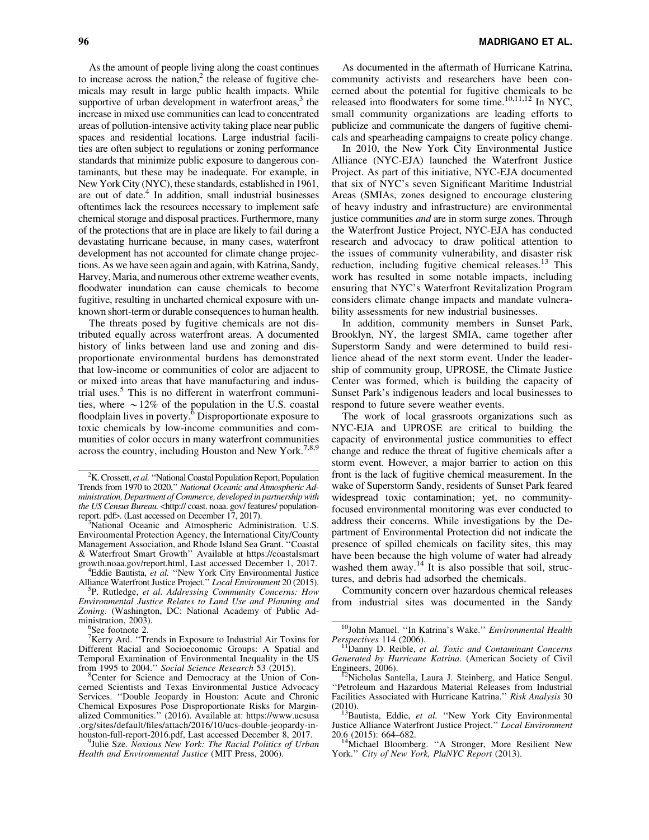As the amount of people living along the coast continues to increase across the nation, $<sup>2</sup>$  the release of fugitive che-</sup> micals may result in large public health impacts. While supportive of urban development in waterfront areas, $\delta$  the increase in mixed use communities can lead to concentrated areas of pollution-intensive activity taking place near public spaces and residential locations. Large industrial facilities are often subject to regulations or zoning performance standards that minimize public exposure to dangerous contaminants, but these may be inadequate. For example, in New York City (NYC), these standards, established in 1961, are out of date.<sup>4</sup> In addition, small industrial businesses oftentimes lack the resources necessary to implement safe chemical storage and disposal practices. Furthermore, many of the protections that are in place are likely to fail during a devastating hurricane because, in many cases, waterfront development has not accounted for climate change projections. As we have seen again and again, with Katrina, Sandy, Harvey, Maria, and numerous other extreme weather events, floodwater inundation can cause chemicals to become fugitive, resulting in uncharted chemical exposure with unknown short-term or durable consequences to human health.

The threats posed by fugitive chemicals are not distributed equally across waterfront areas. A documented history of links between land use and zoning and disproportionate environmental burdens has demonstrated that low-income or communities of color are adjacent to or mixed into areas that have manufacturing and industrial uses.<sup>5</sup> This is no different in waterfront communities, where  $\sim$  12% of the population in the U.S. coastal floodplain lives in poverty.<sup>6</sup> Disproportionate exposure to toxic chemicals by low-income communities and communities of color occurs in many waterfront communities across the country, including Houston and New York.<sup>7,8,9</sup>

Eddie Bautista, *et al.* ''New York City Environmental Justice Alliance Waterfront Justice Project." *Local Environment* 20 (2015).

P. Rutledge, *et al. Addressing Community Concerns: How Environmental Justice Relates to Land Use and Planning and Zoning*. (Washington, DC: National Academy of Public Administration, 2003).

<sup>6</sup>See footnote 2.

<sup>7</sup>Kerry Ard. "Trends in Exposure to Industrial Air Toxins for Different Racial and Socioeconomic Groups: A Spatial and Temporal Examination of Environmental Inequality in the US from 1995 to 2004." *Social Science Research* 53 (2015).

<sup>3</sup>Center for Science and Democracy at the Union of Concerned Scientists and Texas Environmental Justice Advocacy Services. ''Double Jeopardy in Houston: Acute and Chronic Chemical Exposures Pose Disproportionate Risks for Marginalized Communities.'' (2016). Available at: https://www.ucsusa .org/sites/default/files/attach/2016/10/ucs-double-jeopardy-in-

houston-full-report-2016.pdf, Last accessed December 8, 2017. <sup>9</sup> Julie Sze. *Noxious New York: The Racial Politics of Urban Health and Environmental Justice* (MIT Press, 2006).

As documented in the aftermath of Hurricane Katrina, community activists and researchers have been concerned about the potential for fugitive chemicals to be released into floodwaters for some time.<sup>10,11,12</sup> In NYC, small community organizations are leading efforts to publicize and communicate the dangers of fugitive chemicals and spearheading campaigns to create policy change.

In 2010, the New York City Environmental Justice Alliance (NYC-EJA) launched the Waterfront Justice Project. As part of this initiative, NYC-EJA documented that six of NYC's seven Significant Maritime Industrial Areas (SMIAs, zones designed to encourage clustering of heavy industry and infrastructure) are environmental justice communities *and* are in storm surge zones. Through the Waterfront Justice Project, NYC-EJA has conducted research and advocacy to draw political attention to the issues of community vulnerability, and disaster risk reduction, including fugitive chemical releases.<sup>13</sup> This work has resulted in some notable impacts, including ensuring that NYC's Waterfront Revitalization Program considers climate change impacts and mandate vulnerability assessments for new industrial businesses.

In addition, community members in Sunset Park, Brooklyn, NY, the largest SMIA, came together after Superstorm Sandy and were determined to build resilience ahead of the next storm event. Under the leadership of community group, UPROSE, the Climate Justice Center was formed, which is building the capacity of Sunset Park's indigenous leaders and local businesses to respond to future severe weather events.

The work of local grassroots organizations such as NYC-EJA and UPROSE are critical to building the capacity of environmental justice communities to effect change and reduce the threat of fugitive chemicals after a storm event. However, a major barrier to action on this front is the lack of fugitive chemical measurement. In the wake of Superstorm Sandy, residents of Sunset Park feared widespread toxic contamination; yet, no communityfocused environmental monitoring was ever conducted to address their concerns. While investigations by the Department of Environmental Protection did not indicate the presence of spilled chemicals on facility sites, this may have been because the high volume of water had already washed them away.<sup>14</sup> It is also possible that soil, structures, and debris had adsorbed the chemicals.

Community concern over hazardous chemical releases from industrial sites was documented in the Sandy

(2010). 13Bautista, Eddie, *et al.* ''New York City Environmental Justice Alliance Waterfront Justice Project.'' *Local Environment* 20.6 (2015): 664–682.<br><sup>14</sup>Michael Bloomberg. "A Stronger, More Resilient New

York.'' *City of New York, PlaNYC Report* (2013).

<sup>2</sup> K. Crossett, *et al.*''National Coastal Population Report, Population Trends from 1970 to 2020,'' *National Oceanic and Atmospheric Administration, Department of Commerce, developed in partnership with the US Census Bureau.* <http:// coast. noaa. gov/ features/ populationreport. pdf>. (Last accessed on December 17, 2017).

<sup>&</sup>lt;sup>3</sup>National Oceanic and Atmospheric Administration. U.S. Environmental Protection Agency, the International City/County Management Association, and Rhode Island Sea Grant. ''Coastal & Waterfront Smart Growth'' Available at https://coastalsmart growth.noaa.gov/report.html, Last accessed December 1, 2017. <sup>4</sup>

<sup>10</sup>John Manuel. ''In Katrina's Wake.'' *Environmental Health Perspectives* 114 (2006).<br><sup>11</sup>Danny D. Reible, *et al. Toxic and Contaminant Concerns* 

*Generated by Hurricane Katrina*. (American Society of Civil Engineers, 2006). 12Nicholas Santella, Laura J. Steinberg, and Hatice Sengul.

<sup>&#</sup>x27;'Petroleum and Hazardous Material Releases from Industrial Facilities Associated with Hurricane Katrina.'' *Risk Analysis* 30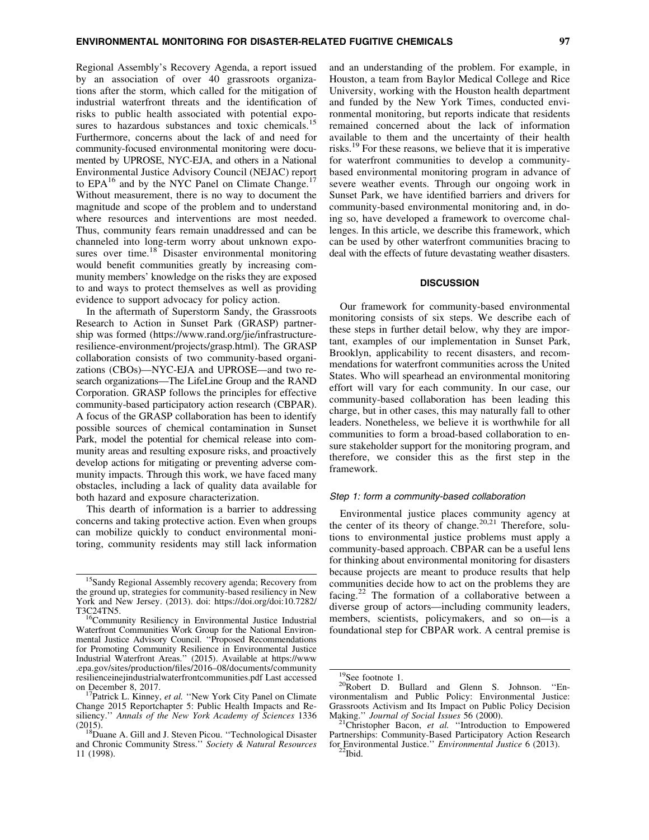Regional Assembly's Recovery Agenda, a report issued by an association of over 40 grassroots organizations after the storm, which called for the mitigation of industrial waterfront threats and the identification of risks to public health associated with potential exposures to hazardous substances and toxic chemicals.<sup>1</sup> Furthermore, concerns about the lack of and need for community-focused environmental monitoring were documented by UPROSE, NYC-EJA, and others in a National Environmental Justice Advisory Council (NEJAC) report to  $EPA^{16}$  and by the NYC Panel on Climate Change.<sup>17</sup> Without measurement, there is no way to document the magnitude and scope of the problem and to understand where resources and interventions are most needed. Thus, community fears remain unaddressed and can be channeled into long-term worry about unknown exposures over time.<sup>18</sup> Disaster environmental monitoring would benefit communities greatly by increasing community members' knowledge on the risks they are exposed to and ways to protect themselves as well as providing evidence to support advocacy for policy action.

In the aftermath of Superstorm Sandy, the Grassroots Research to Action in Sunset Park (GRASP) partnership was formed (https://www.rand.org/jie/infrastructureresilience-environment/projects/grasp.html). The GRASP collaboration consists of two community-based organizations (CBOs)—NYC-EJA and UPROSE—and two research organizations—The LifeLine Group and the RAND Corporation. GRASP follows the principles for effective community-based participatory action research (CBPAR). A focus of the GRASP collaboration has been to identify possible sources of chemical contamination in Sunset Park, model the potential for chemical release into community areas and resulting exposure risks, and proactively develop actions for mitigating or preventing adverse community impacts. Through this work, we have faced many obstacles, including a lack of quality data available for both hazard and exposure characterization.

This dearth of information is a barrier to addressing concerns and taking protective action. Even when groups can mobilize quickly to conduct environmental monitoring, community residents may still lack information and an understanding of the problem. For example, in Houston, a team from Baylor Medical College and Rice University, working with the Houston health department and funded by the New York Times, conducted environmental monitoring, but reports indicate that residents remained concerned about the lack of information available to them and the uncertainty of their health risks.<sup>19</sup> For these reasons, we believe that it is imperative for waterfront communities to develop a communitybased environmental monitoring program in advance of severe weather events. Through our ongoing work in Sunset Park, we have identified barriers and drivers for community-based environmental monitoring and, in doing so, have developed a framework to overcome challenges. In this article, we describe this framework, which can be used by other waterfront communities bracing to deal with the effects of future devastating weather disasters.

### **DISCUSSION**

Our framework for community-based environmental monitoring consists of six steps. We describe each of these steps in further detail below, why they are important, examples of our implementation in Sunset Park, Brooklyn, applicability to recent disasters, and recommendations for waterfront communities across the United States. Who will spearhead an environmental monitoring effort will vary for each community. In our case, our community-based collaboration has been leading this charge, but in other cases, this may naturally fall to other leaders. Nonetheless, we believe it is worthwhile for all communities to form a broad-based collaboration to ensure stakeholder support for the monitoring program, and therefore, we consider this as the first step in the framework.

### Step 1: form a community-based collaboration

Environmental justice places community agency at the center of its theory of change.<sup>20,21</sup> Therefore, solutions to environmental justice problems must apply a community-based approach. CBPAR can be a useful lens for thinking about environmental monitoring for disasters because projects are meant to produce results that help communities decide how to act on the problems they are facing.<sup>22</sup> The formation of a collaborative between a diverse group of actors—including community leaders, members, scientists, policymakers, and so on—is a foundational step for CBPAR work. A central premise is

<sup>&</sup>lt;sup>15</sup>Sandy Regional Assembly recovery agenda; Recovery from the ground up, strategies for community-based resiliency in New York and New Jersey. (2013). doi: https://doi.org/doi:10.7282/

T3C24TN5.<br><sup>16</sup>Community Resiliency in Environmental Justice Industrial Waterfront Communities Work Group for the National Environmental Justice Advisory Council. ''Proposed Recommendations for Promoting Community Resilience in Environmental Justice Industrial Waterfront Areas.'' (2015). Available at https://www .epa.gov/sites/production/files/2016–08/documents/community resilienceinejindustrialwaterfrontcommunities.pdf Last accessed<br>on December 8, 2017.

Patrick L. Kinney, *et al.* "New York City Panel on Climate Change 2015 Reportchapter 5: Public Health Impacts and Resiliency." Annals of the New York Academy of Sciences 1336 siliency.'' *Annals of the New York Academy of Sciences* 1336

<sup>&</sup>lt;sup>18</sup>Duane A. Gill and J. Steven Picou. "Technological Disaster and Chronic Community Stress.'' *Society & Natural Resources* 11 (1998).

<sup>&</sup>lt;sup>19</sup>See footnote 1.<br><sup>20</sup>Robert D. Bullard and Glenn S. Johnson. "Environmentalism and Public Policy: Environmental Justice: Grassroots Activism and Its Impact on Public Policy Decision Making." Journal of Social Issues 56 (2000).

Christopher Bacon, *et al.* "Introduction to Empowered Partnerships: Community-Based Participatory Action Research for Environmental Justice.'' *Environmental Justice* 6 (2013). 22Ibid.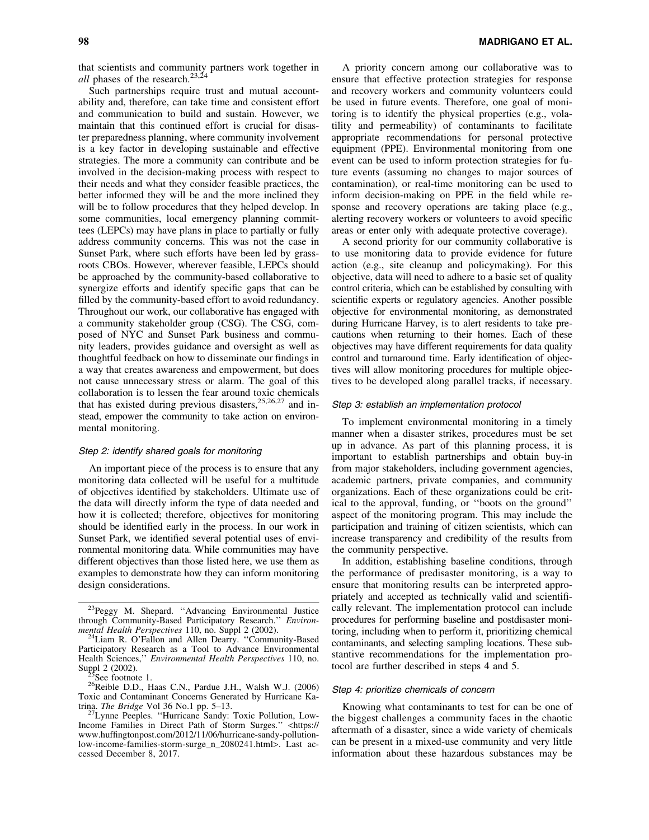that scientists and community partners work together in *all* phases of the research.<sup>23,2</sup>

Such partnerships require trust and mutual accountability and, therefore, can take time and consistent effort and communication to build and sustain. However, we maintain that this continued effort is crucial for disaster preparedness planning, where community involvement is a key factor in developing sustainable and effective strategies. The more a community can contribute and be involved in the decision-making process with respect to their needs and what they consider feasible practices, the better informed they will be and the more inclined they will be to follow procedures that they helped develop. In some communities, local emergency planning committees (LEPCs) may have plans in place to partially or fully address community concerns. This was not the case in Sunset Park, where such efforts have been led by grassroots CBOs. However, wherever feasible, LEPCs should be approached by the community-based collaborative to synergize efforts and identify specific gaps that can be filled by the community-based effort to avoid redundancy. Throughout our work, our collaborative has engaged with a community stakeholder group (CSG). The CSG, composed of NYC and Sunset Park business and community leaders, provides guidance and oversight as well as thoughtful feedback on how to disseminate our findings in a way that creates awareness and empowerment, but does not cause unnecessary stress or alarm. The goal of this collaboration is to lessen the fear around toxic chemicals that has existed during previous disasters,  $25,26,27$  and instead, empower the community to take action on environmental monitoring.

#### Step 2: identify shared goals for monitoring

An important piece of the process is to ensure that any monitoring data collected will be useful for a multitude of objectives identified by stakeholders. Ultimate use of the data will directly inform the type of data needed and how it is collected; therefore, objectives for monitoring should be identified early in the process. In our work in Sunset Park, we identified several potential uses of environmental monitoring data. While communities may have different objectives than those listed here, we use them as examples to demonstrate how they can inform monitoring design considerations.

A priority concern among our collaborative was to ensure that effective protection strategies for response and recovery workers and community volunteers could be used in future events. Therefore, one goal of monitoring is to identify the physical properties (e.g., volatility and permeability) of contaminants to facilitate appropriate recommendations for personal protective equipment (PPE). Environmental monitoring from one event can be used to inform protection strategies for future events (assuming no changes to major sources of contamination), or real-time monitoring can be used to inform decision-making on PPE in the field while response and recovery operations are taking place (e.g., alerting recovery workers or volunteers to avoid specific areas or enter only with adequate protective coverage).

A second priority for our community collaborative is to use monitoring data to provide evidence for future action (e.g., site cleanup and policymaking). For this objective, data will need to adhere to a basic set of quality control criteria, which can be established by consulting with scientific experts or regulatory agencies. Another possible objective for environmental monitoring, as demonstrated during Hurricane Harvey, is to alert residents to take precautions when returning to their homes. Each of these objectives may have different requirements for data quality control and turnaround time. Early identification of objectives will allow monitoring procedures for multiple objectives to be developed along parallel tracks, if necessary.

#### Step 3: establish an implementation protocol

To implement environmental monitoring in a timely manner when a disaster strikes, procedures must be set up in advance. As part of this planning process, it is important to establish partnerships and obtain buy-in from major stakeholders, including government agencies, academic partners, private companies, and community organizations. Each of these organizations could be critical to the approval, funding, or ''boots on the ground'' aspect of the monitoring program. This may include the participation and training of citizen scientists, which can increase transparency and credibility of the results from the community perspective.

In addition, establishing baseline conditions, through the performance of predisaster monitoring, is a way to ensure that monitoring results can be interpreted appropriately and accepted as technically valid and scientifically relevant. The implementation protocol can include procedures for performing baseline and postdisaster monitoring, including when to perform it, prioritizing chemical contaminants, and selecting sampling locations. These substantive recommendations for the implementation protocol are further described in steps 4 and 5.

#### Step 4: prioritize chemicals of concern

Knowing what contaminants to test for can be one of the biggest challenges a community faces in the chaotic aftermath of a disaster, since a wide variety of chemicals can be present in a mixed-use community and very little information about these hazardous substances may be

<sup>&</sup>lt;sup>23</sup>Peggy M. Shepard. "Advancing Environmental Justice through Community-Based Participatory Research.'' *Environ-*

<sup>&</sup>lt;sup>24</sup>Liam R. O'Fallon and Allen Dearry. "Community-Based Participatory Research as a Tool to Advance Environmental Health Sciences,'' *Environmental Health Perspectives* 110, no.

<sup>&</sup>lt;sup>25</sup>See footnote 1.<br><sup>26</sup>Reible D.D., Haas C.N., Pardue J.H., Walsh W.J. (2006) Toxic and Contaminant Concerns Generated by Hurricane Ka-<br>tring. The Bridge Vol 36 No.1 pp. 5–13.

Lynne Peeples. "Hurricane Sandy: Toxic Pollution, Low-Income Families in Direct Path of Storm Surges.'' <https:// www.huffingtonpost.com/2012/11/06/hurricane-sandy-pollutionlow-income-families-storm-surge\_n\_2080241.html>. Last accessed December 8, 2017.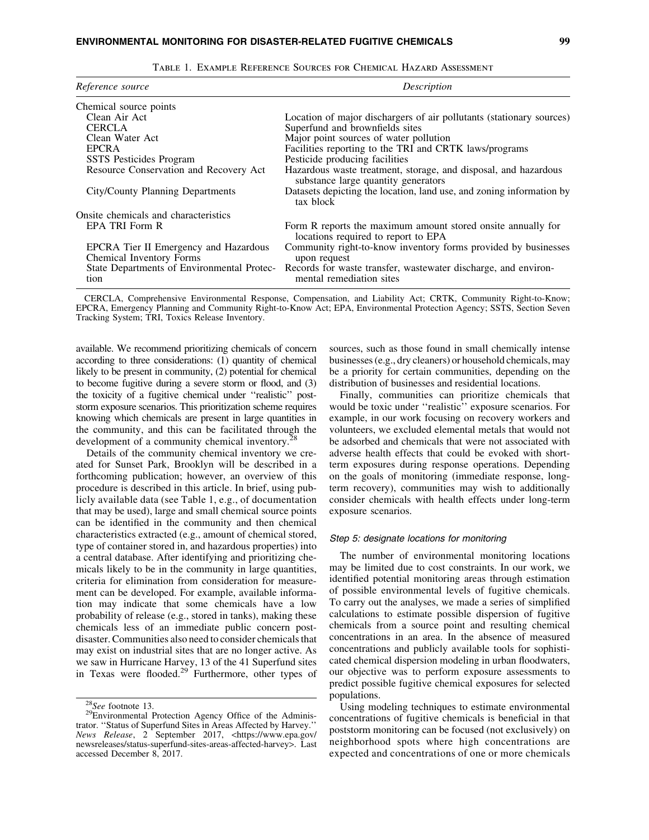| Reference source                                                  | Description                                                                                            |
|-------------------------------------------------------------------|--------------------------------------------------------------------------------------------------------|
| Chemical source points                                            |                                                                                                        |
| Clean Air Act                                                     | Location of major dischargers of air pollutants (stationary sources)                                   |
| <b>CERCLA</b>                                                     | Superfund and brownfields sites                                                                        |
| Clean Water Act                                                   | Major point sources of water pollution                                                                 |
| <b>EPCRA</b>                                                      | Facilities reporting to the TRI and CRTK laws/programs                                                 |
| <b>SSTS</b> Pesticides Program                                    | Pesticide producing facilities                                                                         |
| Resource Conservation and Recovery Act                            | Hazardous waste treatment, storage, and disposal, and hazardous<br>substance large quantity generators |
| City/County Planning Departments                                  | Datasets depicting the location, land use, and zoning information by<br>tax block                      |
| Onsite chemicals and characteristics                              |                                                                                                        |
| EPA TRI Form R                                                    | Form R reports the maximum amount stored onsite annually for<br>locations required to report to EPA    |
| EPCRA Tier II Emergency and Hazardous<br>Chemical Inventory Forms | Community right-to-know inventory forms provided by businesses<br>upon request                         |
| State Departments of Environmental Protec-<br>tion                | Records for waste transfer, wastewater discharge, and environ-<br>mental remediation sites             |

Table 1. Example Reference Sources for Chemical Hazard Assessment

CERCLA, Comprehensive Environmental Response, Compensation, and Liability Act; CRTK, Community Right-to-Know; EPCRA, Emergency Planning and Community Right-to-Know Act; EPA, Environmental Protection Agency; SSTS, Section Seven Tracking System; TRI, Toxics Release Inventory.

available. We recommend prioritizing chemicals of concern according to three considerations: (1) quantity of chemical likely to be present in community, (2) potential for chemical to become fugitive during a severe storm or flood, and (3) the toxicity of a fugitive chemical under ''realistic'' poststorm exposure scenarios. This prioritization scheme requires knowing which chemicals are present in large quantities in the community, and this can be facilitated through the development of a community chemical inventory.<sup>2</sup>

Details of the community chemical inventory we created for Sunset Park, Brooklyn will be described in a forthcoming publication; however, an overview of this procedure is described in this article. In brief, using publicly available data (see Table 1, e.g., of documentation that may be used), large and small chemical source points can be identified in the community and then chemical characteristics extracted (e.g., amount of chemical stored, type of container stored in, and hazardous properties) into a central database. After identifying and prioritizing chemicals likely to be in the community in large quantities, criteria for elimination from consideration for measurement can be developed. For example, available information may indicate that some chemicals have a low probability of release (e.g., stored in tanks), making these chemicals less of an immediate public concern postdisaster. Communities also need to consider chemicals that may exist on industrial sites that are no longer active. As we saw in Hurricane Harvey, 13 of the 41 Superfund sites in Texas were flooded.<sup>29</sup> Furthermore, other types of sources, such as those found in small chemically intense businesses (e.g., dry cleaners) or household chemicals, may be a priority for certain communities, depending on the distribution of businesses and residential locations.

Finally, communities can prioritize chemicals that would be toxic under ''realistic'' exposure scenarios. For example, in our work focusing on recovery workers and volunteers, we excluded elemental metals that would not be adsorbed and chemicals that were not associated with adverse health effects that could be evoked with shortterm exposures during response operations. Depending on the goals of monitoring (immediate response, longterm recovery), communities may wish to additionally consider chemicals with health effects under long-term exposure scenarios.

#### Step 5: designate locations for monitoring

The number of environmental monitoring locations may be limited due to cost constraints. In our work, we identified potential monitoring areas through estimation of possible environmental levels of fugitive chemicals. To carry out the analyses, we made a series of simplified calculations to estimate possible dispersion of fugitive chemicals from a source point and resulting chemical concentrations in an area. In the absence of measured concentrations and publicly available tools for sophisticated chemical dispersion modeling in urban floodwaters, our objective was to perform exposure assessments to predict possible fugitive chemical exposures for selected populations.

Using modeling techniques to estimate environmental concentrations of fugitive chemicals is beneficial in that poststorm monitoring can be focused (not exclusively) on neighborhood spots where high concentrations are expected and concentrations of one or more chemicals

<sup>&</sup>lt;sup>28</sup>See footnote 13.<br><sup>29</sup>Environmental Protection Agency Office of the Administrator. ''Status of Superfund Sites in Areas Affected by Harvey.'' *News Release*, 2 September 2017, <https://www.epa.gov/ newsreleases/status-superfund-sites-areas-affected-harvey>. Last accessed December 8, 2017.